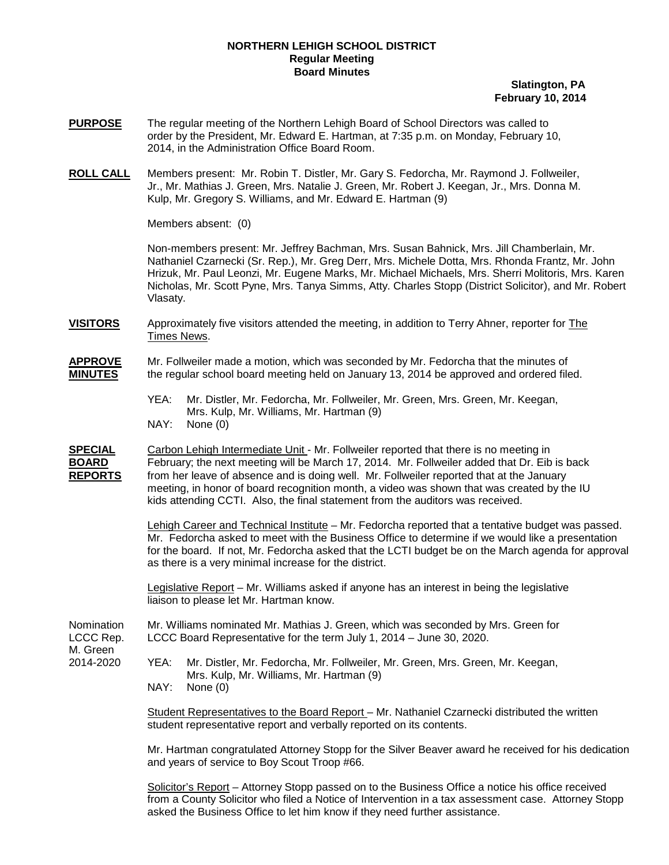## **NORTHERN LEHIGH SCHOOL DISTRICT Regular Meeting Board Minutes**

## **Slatington, PA February 10, 2014**

- **PURPOSE** The regular meeting of the Northern Lehigh Board of School Directors was called to order by the President, Mr. Edward E. Hartman, at 7:35 p.m. on Monday, February 10, 2014, in the Administration Office Board Room.
- **ROLL CALL** Members present: Mr. Robin T. Distler, Mr. Gary S. Fedorcha, Mr. Raymond J. Follweiler, Jr., Mr. Mathias J. Green, Mrs. Natalie J. Green, Mr. Robert J. Keegan, Jr., Mrs. Donna M. Kulp, Mr. Gregory S. Williams, and Mr. Edward E. Hartman (9)

Members absent: (0)

Non-members present: Mr. Jeffrey Bachman, Mrs. Susan Bahnick, Mrs. Jill Chamberlain, Mr. Nathaniel Czarnecki (Sr. Rep.), Mr. Greg Derr, Mrs. Michele Dotta, Mrs. Rhonda Frantz, Mr. John Hrizuk, Mr. Paul Leonzi, Mr. Eugene Marks, Mr. Michael Michaels, Mrs. Sherri Molitoris, Mrs. Karen Nicholas, Mr. Scott Pyne, Mrs. Tanya Simms, Atty. Charles Stopp (District Solicitor), and Mr. Robert Vlasaty.

**VISITORS** Approximately five visitors attended the meeting, in addition to Terry Ahner, reporter for The Times News.

## **APPROVE** Mr. Follweiler made a motion, which was seconded by Mr. Fedorcha that the minutes of **MINUTES** the regular school board meeting held on January 13, 2014 be approved and ordered filed.

YEA: Mr. Distler, Mr. Fedorcha, Mr. Follweiler, Mr. Green, Mrs. Green, Mr. Keegan, Mrs. Kulp, Mr. Williams, Mr. Hartman (9) NAY: None (0)

**SPECIAL** Carbon Lehigh Intermediate Unit - Mr. Follweiler reported that there is no meeting in<br> **BOARD** February: the next meeting will be March 17, 2014. Mr. Follweiler added that Dr. Eib February; the next meeting will be March 17, 2014. Mr. Follweiler added that Dr. Eib is back **REPORTS** meeting, in honor of board recognition month, a video was shown that was created by the IU kids attending CCTI. Also, the final statement from the auditors was received. from her leave of absence and is doing well. Mr. Follweiler reported that at the January

> <u>Lehigh Career and Technical Institute</u> – Mr. Fedorcha reported that a tentative budget was passed. for the board. If not, Mr. Fedorcha asked that the LCTI budget be on the March agenda for approval as there is a very minimal increase for the district. Mr. Fedorcha asked to meet with the Business Office to determine if we would like a presentation

Legislative Report – Mr. Williams asked if anyone has an interest in being the legislative liaison to please let Mr. Hartman know.

Nomination Mr. Williams nominated Mr. Mathias J. Green, which was seconded by Mrs. Green for LCCC Board Representative for the term July 1, 2014 – June 30, 2020. LCCC Board Representative for the term July 1, 2014 – June 30, 2020. M. Green<br>2014-2020 YEA: Mr. Distler, Mr. Fedorcha, Mr. Follweiler, Mr. Green, Mrs. Green, Mr. Keegan, Mrs. Kulp, Mr. Williams, Mr. Hartman (9)

NAY: None (0)

Student Representatives to the Board Report – Mr. Nathaniel Czarnecki distributed the written student representative report and verbally reported on its contents.

Mr. Hartman congratulated Attorney Stopp for the Silver Beaver award he received for his dedication and years of service to Boy Scout Troop #66.

Solicitor's Report – Attorney Stopp passed on to the Business Office a notice his office received from a County Solicitor who filed a Notice of Intervention in a tax assessment case. Attorney Stopp asked the Business Office to let him know if they need further assistance.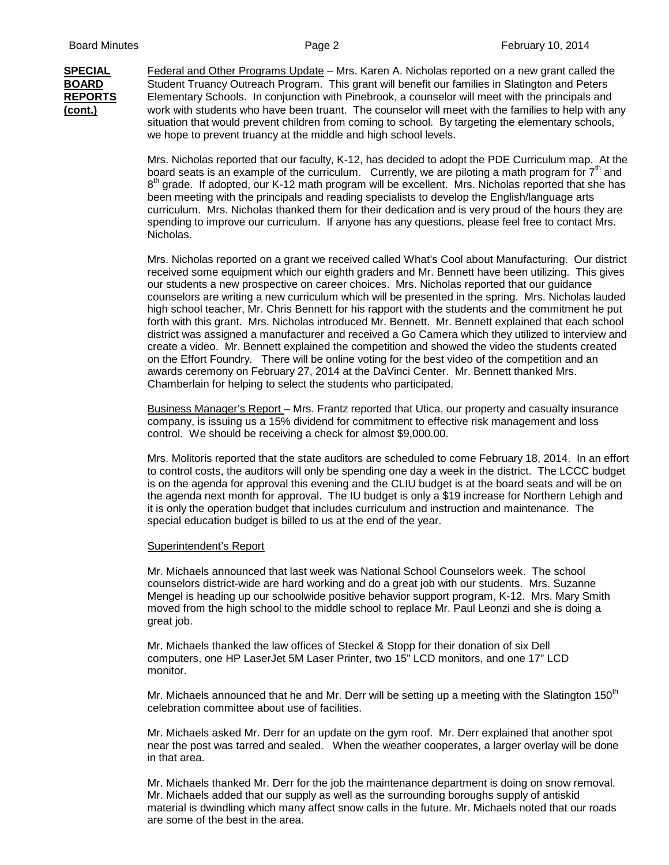**(cont.)**

**SPECIAL** Federal and Other Programs Update – Mrs. Karen A. Nicholas reported on a new grant called the **BOARD** Student Truancy Outreach Program. This grant will benefit our families in Slatington and Peters **REPORTS** Elementary Schools. In conjunction with Pinebrook, a counselor will meet with the principals and situation that would prevent children from coming to school. By targeting the elementary schools, we hope to prevent truancy at the middle and high school levels. work with students who have been truant. The counselor will meet with the families to help with any

> Mrs. Nicholas reported that our faculty, K-12, has decided to adopt the PDE Curriculum map. At the board seats is an example of the curriculum. Currently, we are piloting a math program for  $7<sup>th</sup>$  and  $8<sup>th</sup>$  grade. If adopted, our K-12 math program will be excellent. Mrs. Nicholas reported that she has been meeting with the principals and reading specialists to develop the English/language arts curriculum. Mrs. Nicholas thanked them for their dedication and is very proud of the hours they are spending to improve our curriculum. If anyone has any questions, please feel free to contact Mrs. Nicholas.

> Mrs. Nicholas reported on a grant we received called What's Cool about Manufacturing. Our district received some equipment which our eighth graders and Mr. Bennett have been utilizing. This gives our students a new prospective on career choices. Mrs. Nicholas reported that our guidance counselors are writing a new curriculum which will be presented in the spring. Mrs. Nicholas lauded high school teacher, Mr. Chris Bennett for his rapport with the students and the commitment he put forth with this grant. Mrs. Nicholas introduced Mr. Bennett. Mr. Bennett explained that each school district was assigned a manufacturer and received a Go Camera which they utilized to interview and create a video. Mr. Bennett explained the competition and showed the video the students created on the Effort Foundry. There will be online voting for the best video of the competition and an awards ceremony on February 27, 2014 at the DaVinci Center. Mr. Bennett thanked Mrs. Chamberlain for helping to select the students who participated.

Business Manager's Report – Mrs. Frantz reported that Utica, our property and casualty insurance company, is issuing us a 15% dividend for commitment to effective risk management and loss control. We should be receiving a check for almost \$9,000.00.

Mrs. Molitoris reported that the state auditors are scheduled to come February 18, 2014. In an effort to control costs, the auditors will only be spending one day a week in the district. The LCCC budget is on the agenda for approval this evening and the CLIU budget is at the board seats and will be on the agenda next month for approval. The IU budget is only a \$19 increase for Northern Lehigh and it is only the operation budget that includes curriculum and instruction and maintenance. The special education budget is billed to us at the end of the year.

## Superintendent's Report

Mr. Michaels announced that last week was National School Counselors week. The school counselors district-wide are hard working and do a great job with our students. Mrs. Suzanne Mengel is heading up our schoolwide positive behavior support program, K-12. Mrs. Mary Smith moved from the high school to the middle school to replace Mr. Paul Leonzi and she is doing a great job.

Mr. Michaels thanked the law offices of Steckel & Stopp for their donation of six Dell computers, one HP LaserJet 5M Laser Printer, two 15" LCD monitors, and one 17" LCD monitor.

Mr. Michaels announced that he and Mr. Derr will be setting up a meeting with the Slatington  $150<sup>th</sup>$ celebration committee about use of facilities.

Mr. Michaels asked Mr. Derr for an update on the gym roof. Mr. Derr explained that another spot near the post was tarred and sealed. When the weather cooperates, a larger overlay will be done in that area.

Mr. Michaels thanked Mr. Derr for the job the maintenance department is doing on snow removal. Mr. Michaels added that our supply as well as the surrounding boroughs supply of antiskid material is dwindling which many affect snow calls in the future. Mr. Michaels noted that our roads are some of the best in the area.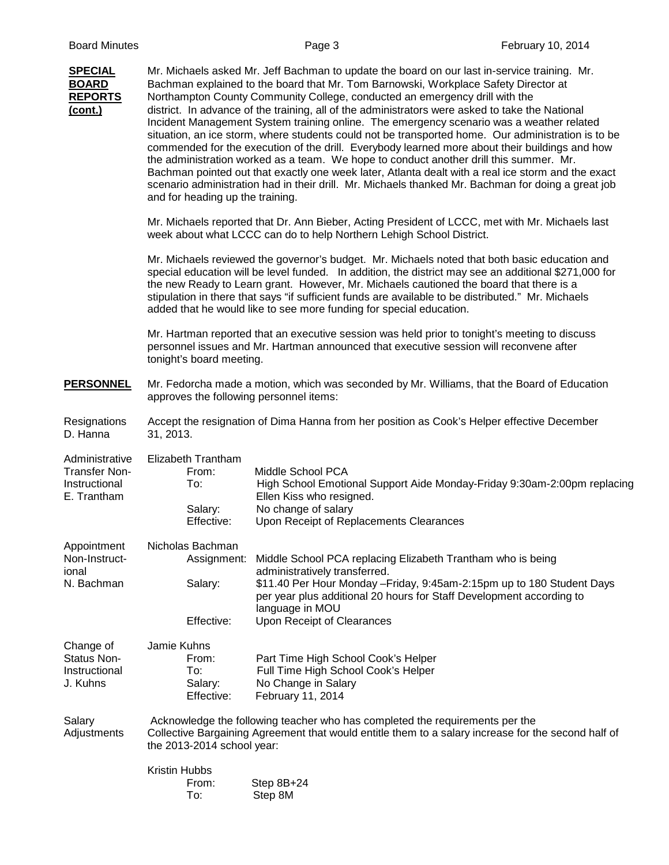| <b>SPECIAL</b><br><b>BOARD</b><br><b>REPORTS</b><br>(cont.)            | Mr. Michaels asked Mr. Jeff Bachman to update the board on our last in-service training. Mr.<br>Bachman explained to the board that Mr. Tom Barnowski, Workplace Safety Director at<br>Northampton County Community College, conducted an emergency drill with the<br>district. In advance of the training, all of the administrators were asked to take the National<br>Incident Management System training online. The emergency scenario was a weather related<br>situation, an ice storm, where students could not be transported home. Our administration is to be<br>commended for the execution of the drill. Everybody learned more about their buildings and how<br>the administration worked as a team. We hope to conduct another drill this summer. Mr.<br>Bachman pointed out that exactly one week later, Atlanta dealt with a real ice storm and the exact<br>scenario administration had in their drill. Mr. Michaels thanked Mr. Bachman for doing a great job<br>and for heading up the training. |                                                                                                                                                                                                                                                                                                             |  |  |  |
|------------------------------------------------------------------------|---------------------------------------------------------------------------------------------------------------------------------------------------------------------------------------------------------------------------------------------------------------------------------------------------------------------------------------------------------------------------------------------------------------------------------------------------------------------------------------------------------------------------------------------------------------------------------------------------------------------------------------------------------------------------------------------------------------------------------------------------------------------------------------------------------------------------------------------------------------------------------------------------------------------------------------------------------------------------------------------------------------------|-------------------------------------------------------------------------------------------------------------------------------------------------------------------------------------------------------------------------------------------------------------------------------------------------------------|--|--|--|
|                                                                        | Mr. Michaels reported that Dr. Ann Bieber, Acting President of LCCC, met with Mr. Michaels last<br>week about what LCCC can do to help Northern Lehigh School District.                                                                                                                                                                                                                                                                                                                                                                                                                                                                                                                                                                                                                                                                                                                                                                                                                                             |                                                                                                                                                                                                                                                                                                             |  |  |  |
|                                                                        | Mr. Michaels reviewed the governor's budget. Mr. Michaels noted that both basic education and<br>special education will be level funded. In addition, the district may see an additional \$271,000 for<br>the new Ready to Learn grant. However, Mr. Michaels cautioned the board that there is a<br>stipulation in there that says "if sufficient funds are available to be distributed." Mr. Michaels<br>added that he would like to see more funding for special education.                                                                                                                                                                                                                                                                                                                                                                                                                                                                                                                                      |                                                                                                                                                                                                                                                                                                             |  |  |  |
|                                                                        | Mr. Hartman reported that an executive session was held prior to tonight's meeting to discuss<br>personnel issues and Mr. Hartman announced that executive session will reconvene after<br>tonight's board meeting.                                                                                                                                                                                                                                                                                                                                                                                                                                                                                                                                                                                                                                                                                                                                                                                                 |                                                                                                                                                                                                                                                                                                             |  |  |  |
| <b>PERSONNEL</b>                                                       | Mr. Fedorcha made a motion, which was seconded by Mr. Williams, that the Board of Education<br>approves the following personnel items:                                                                                                                                                                                                                                                                                                                                                                                                                                                                                                                                                                                                                                                                                                                                                                                                                                                                              |                                                                                                                                                                                                                                                                                                             |  |  |  |
| Resignations<br>D. Hanna                                               | Accept the resignation of Dima Hanna from her position as Cook's Helper effective December<br>31, 2013.                                                                                                                                                                                                                                                                                                                                                                                                                                                                                                                                                                                                                                                                                                                                                                                                                                                                                                             |                                                                                                                                                                                                                                                                                                             |  |  |  |
| Administrative<br><b>Transfer Non-</b><br>Instructional<br>E. Trantham | Elizabeth Trantham<br>From:<br>To:<br>Salary:<br>Effective:                                                                                                                                                                                                                                                                                                                                                                                                                                                                                                                                                                                                                                                                                                                                                                                                                                                                                                                                                         | Middle School PCA<br>High School Emotional Support Aide Monday-Friday 9:30am-2:00pm replacing<br>Ellen Kiss who resigned.<br>No change of salary<br>Upon Receipt of Replacements Clearances                                                                                                                 |  |  |  |
| Appointment<br>Non-Instruct-<br>ional<br>N. Bachman                    | Nicholas Bachman<br>Salary:<br>Effective:                                                                                                                                                                                                                                                                                                                                                                                                                                                                                                                                                                                                                                                                                                                                                                                                                                                                                                                                                                           | Assignment: Middle School PCA replacing Elizabeth Trantham who is being<br>administratively transferred.<br>\$11.40 Per Hour Monday - Friday, 9:45am-2:15pm up to 180 Student Days<br>per year plus additional 20 hours for Staff Development according to<br>language in MOU<br>Upon Receipt of Clearances |  |  |  |
| Change of<br>Status Non-<br>Instructional<br>J. Kuhns                  | Jamie Kuhns<br>From:<br>To:<br>Salary:<br>Effective:                                                                                                                                                                                                                                                                                                                                                                                                                                                                                                                                                                                                                                                                                                                                                                                                                                                                                                                                                                | Part Time High School Cook's Helper<br>Full Time High School Cook's Helper<br>No Change in Salary<br>February 11, 2014                                                                                                                                                                                      |  |  |  |
| Salary<br>Adjustments                                                  | Acknowledge the following teacher who has completed the requirements per the<br>Collective Bargaining Agreement that would entitle them to a salary increase for the second half of<br>the 2013-2014 school year:                                                                                                                                                                                                                                                                                                                                                                                                                                                                                                                                                                                                                                                                                                                                                                                                   |                                                                                                                                                                                                                                                                                                             |  |  |  |
|                                                                        | Kristin Hubbs<br>From:<br>To:                                                                                                                                                                                                                                                                                                                                                                                                                                                                                                                                                                                                                                                                                                                                                                                                                                                                                                                                                                                       | Step 8B+24<br>Step 8M                                                                                                                                                                                                                                                                                       |  |  |  |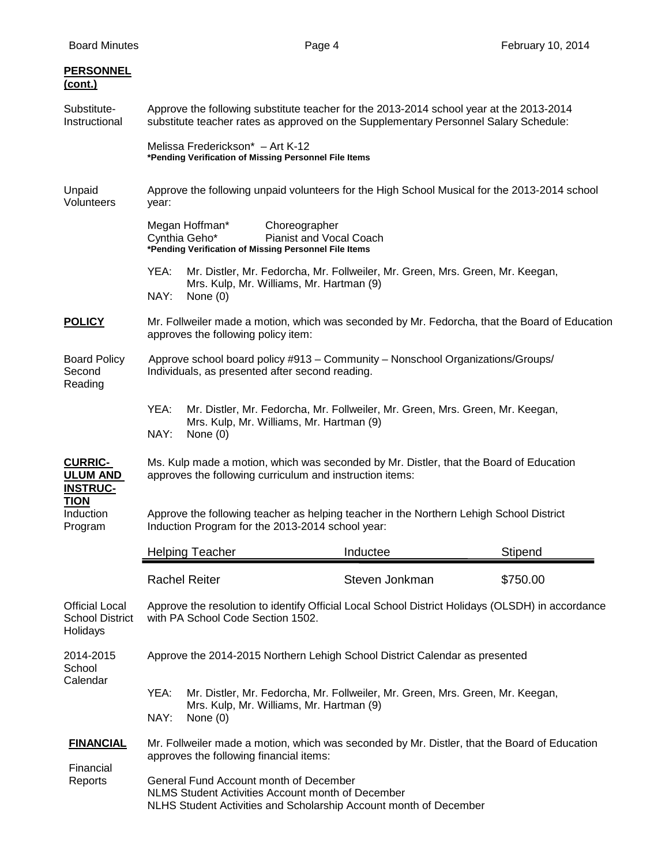| <b>PERSONNEL</b><br><u>(cont.)</u>                          |                                                                                                                                                                                 |                                                                               |          |  |  |
|-------------------------------------------------------------|---------------------------------------------------------------------------------------------------------------------------------------------------------------------------------|-------------------------------------------------------------------------------|----------|--|--|
| Substitute-<br>Instructional                                | Approve the following substitute teacher for the 2013-2014 school year at the 2013-2014<br>substitute teacher rates as approved on the Supplementary Personnel Salary Schedule: |                                                                               |          |  |  |
|                                                             | Melissa Frederickson* - Art K-12<br>*Pending Verification of Missing Personnel File Items                                                                                       |                                                                               |          |  |  |
| Unpaid<br>Volunteers                                        | Approve the following unpaid volunteers for the High School Musical for the 2013-2014 school<br>year:                                                                           |                                                                               |          |  |  |
|                                                             | Megan Hoffman*<br>Choreographer<br><b>Pianist and Vocal Coach</b><br>Cynthia Geho*<br>*Pending Verification of Missing Personnel File Items                                     |                                                                               |          |  |  |
|                                                             | YEA:<br>Mr. Distler, Mr. Fedorcha, Mr. Follweiler, Mr. Green, Mrs. Green, Mr. Keegan,<br>Mrs. Kulp, Mr. Williams, Mr. Hartman (9)<br>NAY:<br>None $(0)$                         |                                                                               |          |  |  |
| <b>POLICY</b>                                               | Mr. Follweiler made a motion, which was seconded by Mr. Fedorcha, that the Board of Education<br>approves the following policy item:                                            |                                                                               |          |  |  |
| <b>Board Policy</b><br>Second<br>Reading                    | Approve school board policy #913 - Community - Nonschool Organizations/Groups/<br>Individuals, as presented after second reading.                                               |                                                                               |          |  |  |
|                                                             | YEA:<br>Mrs. Kulp, Mr. Williams, Mr. Hartman (9)<br>NAY:<br>None $(0)$                                                                                                          | Mr. Distler, Mr. Fedorcha, Mr. Follweiler, Mr. Green, Mrs. Green, Mr. Keegan, |          |  |  |
| <b>CURRIC-</b><br><b>ULUM AND</b><br><b>INSTRUC-</b>        | Ms. Kulp made a motion, which was seconded by Mr. Distler, that the Board of Education<br>approves the following curriculum and instruction items:                              |                                                                               |          |  |  |
| <b>TION</b><br>Induction<br>Program                         | Approve the following teacher as helping teacher in the Northern Lehigh School District<br>Induction Program for the 2013-2014 school year:                                     |                                                                               |          |  |  |
|                                                             | <b>Helping Teacher</b>                                                                                                                                                          | Inductee                                                                      | Stipend  |  |  |
|                                                             | <b>Rachel Reiter</b>                                                                                                                                                            | Steven Jonkman                                                                | \$750.00 |  |  |
| <b>Official Local</b><br><b>School District</b><br>Holidays | Approve the resolution to identify Official Local School District Holidays (OLSDH) in accordance<br>with PA School Code Section 1502.                                           |                                                                               |          |  |  |
| 2014-2015<br>School<br>Calendar                             | Approve the 2014-2015 Northern Lehigh School District Calendar as presented                                                                                                     |                                                                               |          |  |  |
|                                                             | YEA:<br>Mr. Distler, Mr. Fedorcha, Mr. Follweiler, Mr. Green, Mrs. Green, Mr. Keegan,<br>Mrs. Kulp, Mr. Williams, Mr. Hartman (9)<br>NAY:<br>None $(0)$                         |                                                                               |          |  |  |
| <b>FINANCIAL</b>                                            | Mr. Follweiler made a motion, which was seconded by Mr. Distler, that the Board of Education<br>approves the following financial items:                                         |                                                                               |          |  |  |
| Financial<br>Reports                                        | General Fund Account month of December<br>NLMS Student Activities Account month of December<br>NLHS Student Activities and Scholarship Account month of December                |                                                                               |          |  |  |